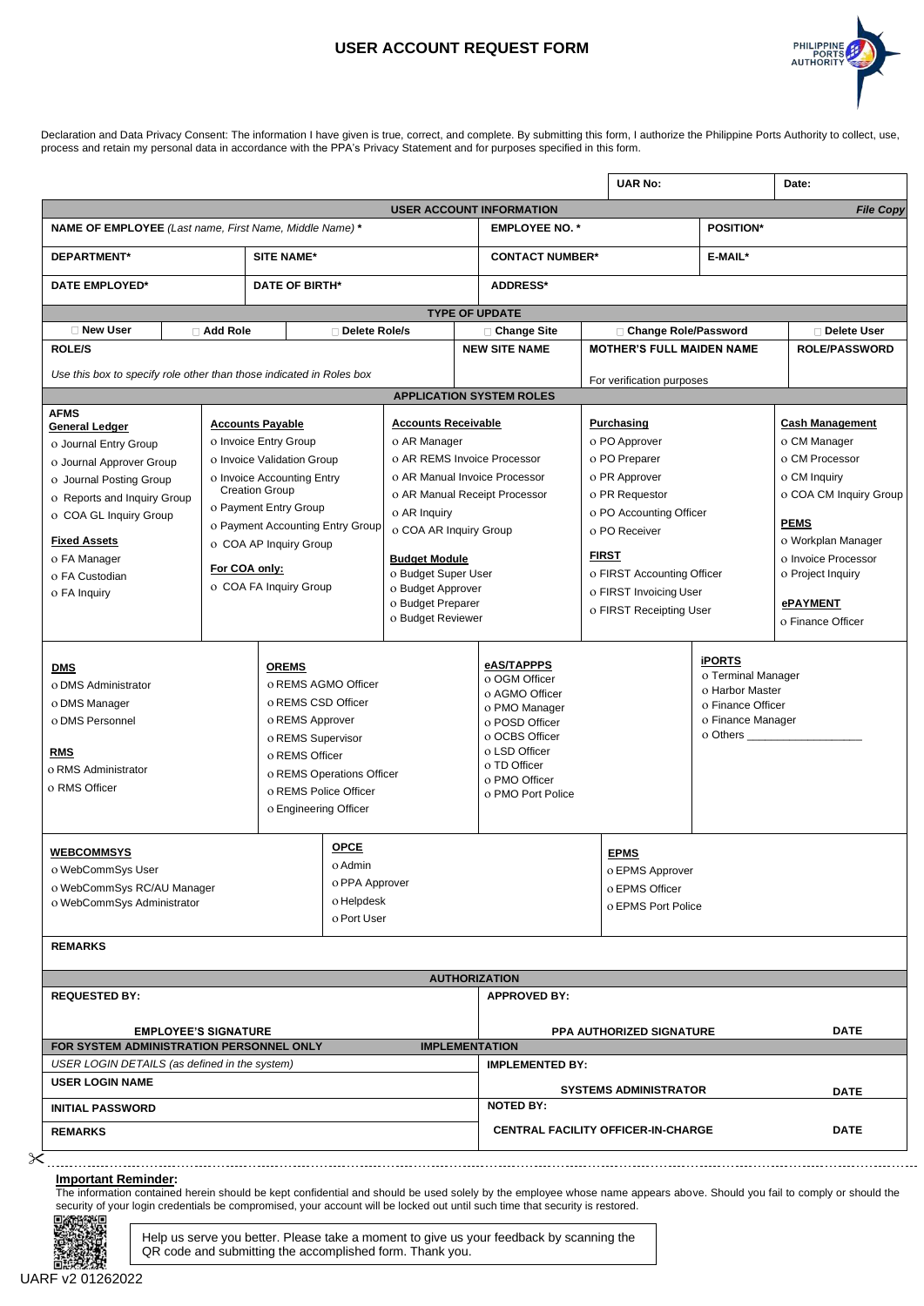## **USER ACCOUNT REQUEST FORM**



Declaration and Data Privacy Consent: The information I have given is true, correct, and complete. By submitting this form, I authorize the Philippine Ports Authority to collect, use, process and retain my personal data in accordance with the PPA's Privacy Statement and for purposes specified in this form.

|                                                                                |               |                                                |                                        |                                               |                                  | <b>UAR No:</b>                            |                               | Date:                                  |  |
|--------------------------------------------------------------------------------|---------------|------------------------------------------------|----------------------------------------|-----------------------------------------------|----------------------------------|-------------------------------------------|-------------------------------|----------------------------------------|--|
|                                                                                |               |                                                |                                        |                                               | <b>USER ACCOUNT INFORMATION</b>  |                                           |                               | <b>File Copy</b>                       |  |
| <b>NAME OF EMPLOYEE</b> (Last name, First Name, Middle Name) *                 |               |                                                |                                        |                                               |                                  | <b>EMPLOYEE NO. *</b><br><b>POSITION*</b> |                               |                                        |  |
| DEPARTMENT*<br><b>SITE NAME*</b>                                               |               |                                                |                                        |                                               |                                  | <b>CONTACT NUMBER*</b>                    |                               | E-MAIL*                                |  |
| <b>DATE EMPLOYED*</b>                                                          |               | <b>DATE OF BIRTH*</b>                          |                                        |                                               | <b>ADDRESS*</b>                  |                                           |                               |                                        |  |
|                                                                                |               |                                                |                                        |                                               | <b>TYPE OF UPDATE</b>            |                                           |                               |                                        |  |
| □ New User                                                                     | □ Add Role    |                                                | Delete Role/s                          |                                               | □ Change Site                    | □ Change Role/Password                    |                               | <b>□ Delete User</b>                   |  |
| <b>ROLE/S</b>                                                                  |               |                                                |                                        |                                               | <b>NEW SITE NAME</b>             | <b>MOTHER'S FULL MAIDEN NAME</b>          |                               | <b>ROLE/PASSWORD</b>                   |  |
| Use this box to specify role other than those indicated in Roles box           |               |                                                |                                        |                                               |                                  | For verification purposes                 |                               |                                        |  |
|                                                                                |               |                                                |                                        |                                               | <b>APPLICATION SYSTEM ROLES</b>  |                                           |                               |                                        |  |
| <b>AFMS</b>                                                                    |               |                                                | <b>Accounts Receivable</b>             |                                               |                                  |                                           |                               |                                        |  |
| <b>General Ledger</b><br>o Invoice Entry Group                                 |               | <b>Accounts Payable</b>                        |                                        |                                               |                                  | Purchasing                                |                               | <b>Cash Management</b><br>o CM Manager |  |
| o Journal Entry Group                                                          |               |                                                |                                        | o AR Manager<br>o AR REMS Invoice Processor   |                                  | o PO Approver<br>o PO Preparer            |                               | o CM Processor                         |  |
| o Invoice Validation Group<br>o Journal Approver Group                         |               |                                                |                                        |                                               | o AR Manual Invoice Processor    | o PR Approver                             |                               | o CM Inquiry                           |  |
| o Invoice Accounting Entry<br>o Journal Posting Group<br><b>Creation Group</b> |               |                                                |                                        |                                               |                                  |                                           |                               | o COA CM Inquiry Group                 |  |
| o Reports and Inquiry Group                                                    |               | o Payment Entry Group                          |                                        | o AR Manual Receipt Processor<br>o AR Inquiry |                                  | o PR Requestor<br>o PO Accounting Officer |                               |                                        |  |
| o COA GL Inquiry Group                                                         |               | o Payment Accounting Entry Group               |                                        |                                               |                                  | o PO Receiver                             |                               | <b>PEMS</b>                            |  |
| <b>Fixed Assets</b>                                                            |               | o COA AP Inquiry Group                         |                                        | o COA AR Inquiry Group                        |                                  |                                           |                               | o Workplan Manager                     |  |
| o FA Manager                                                                   |               |                                                | <b>Budget Module</b>                   |                                               |                                  | <b>FIRST</b>                              |                               | o Invoice Processor                    |  |
| o FA Custodian                                                                 | For COA only: |                                                | o Budget Super User                    |                                               |                                  | o FIRST Accounting Officer                |                               | o Project Inquiry                      |  |
| o FA Inquiry                                                                   |               | o COA FA Inquiry Group                         |                                        | o Budget Approver                             |                                  | o FIRST Invoicing User                    |                               |                                        |  |
|                                                                                |               |                                                | o Budget Preparer<br>o Budget Reviewer |                                               | o FIRST Receipting User          |                                           | ePAYMENT                      |                                        |  |
|                                                                                |               |                                                |                                        |                                               |                                  |                                           |                               | o Finance Officer                      |  |
|                                                                                |               |                                                |                                        |                                               | eAS/TAPPPS                       | <b>iPORTS</b>                             |                               |                                        |  |
| <b>OREMS</b><br><b>DMS</b>                                                     |               |                                                | o REMS AGMO Officer                    |                                               | o OGM Officer                    |                                           | o Terminal Manager            |                                        |  |
| o DMS Administrator                                                            |               |                                                |                                        |                                               | o AGMO Officer                   |                                           | o Harbor Master               |                                        |  |
| o DMS Manager<br>o DMS Personnel                                               |               |                                                | o REMS CSD Officer<br>o REMS Approver  |                                               | o PMO Manager                    |                                           | o Finance Officer             |                                        |  |
|                                                                                |               |                                                | o REMS Supervisor                      |                                               | o POSD Officer<br>o OCBS Officer |                                           | o Finance Manager<br>o Others |                                        |  |
| o REMS Officer                                                                 |               |                                                |                                        | o LSD Officer                                 |                                  |                                           |                               |                                        |  |
|                                                                                |               |                                                | o REMS Operations Officer              |                                               | o TD Officer                     |                                           |                               |                                        |  |
| <b>RMS</b><br>o RMS Administrator                                              |               |                                                |                                        |                                               |                                  |                                           |                               |                                        |  |
|                                                                                |               |                                                |                                        |                                               | o PMO Officer                    |                                           |                               |                                        |  |
| o RMS Officer                                                                  |               | o REMS Police Officer<br>o Engineering Officer |                                        |                                               | o PMO Port Police                |                                           |                               |                                        |  |
|                                                                                |               |                                                |                                        |                                               |                                  |                                           |                               |                                        |  |
| <b>WEBCOMMSYS</b>                                                              |               |                                                | <b>OPCE</b>                            |                                               |                                  | <b>EPMS</b>                               |                               |                                        |  |
| o WebCommSys User                                                              |               |                                                | o Admin                                |                                               |                                  | o EPMS Approver                           |                               |                                        |  |
| o WebCommSys RC/AU Manager                                                     |               |                                                | o PPA Approver                         |                                               |                                  | o EPMS Officer                            |                               |                                        |  |
| o WebCommSys Administrator                                                     |               |                                                | o Helpdesk                             |                                               |                                  | o EPMS Port Police                        |                               |                                        |  |
|                                                                                |               |                                                | o Port User                            |                                               |                                  |                                           |                               |                                        |  |
| <b>REMARKS</b>                                                                 |               |                                                |                                        |                                               |                                  |                                           |                               |                                        |  |
|                                                                                |               |                                                |                                        |                                               | <b>AUTHORIZATION</b>             |                                           |                               |                                        |  |
| <b>REQUESTED BY:</b>                                                           |               |                                                |                                        |                                               | <b>APPROVED BY:</b>              |                                           |                               |                                        |  |
|                                                                                |               |                                                |                                        |                                               |                                  |                                           |                               |                                        |  |
| <b>EMPLOYEE'S SIGNATURE</b>                                                    |               |                                                |                                        |                                               |                                  | PPA AUTHORIZED SIGNATURE                  |                               | <b>DATE</b>                            |  |
| FOR SYSTEM ADMINISTRATION PERSONNEL ONLY                                       |               |                                                |                                        |                                               | <b>IMPLEMENTATION</b>            |                                           |                               |                                        |  |
| USER LOGIN DETAILS (as defined in the system)<br><b>USER LOGIN NAME</b>        |               |                                                |                                        |                                               | <b>IMPLEMENTED BY:</b>           |                                           |                               |                                        |  |
| <b>INITIAL PASSWORD</b>                                                        |               |                                                |                                        |                                               | <b>NOTED BY:</b>                 | <b>SYSTEMS ADMINISTRATOR</b>              |                               | <b>DATE</b>                            |  |
| <b>REMARKS</b>                                                                 |               |                                                |                                        |                                               |                                  | <b>CENTRAL FACILITY OFFICER-IN-CHARGE</b> |                               | <b>DATE</b>                            |  |

The information contained herein should be kept confidential and should be used solely by the employee whose name appears above. Should you fail to comply or should the security of your login credentials be compromised, your account will be locked out until such time that security is restored.<br>回答路德通



Help us serve you better. Please take a moment to give us your feedback by scanning the QR code and submitting the accomplished form. Thank you.